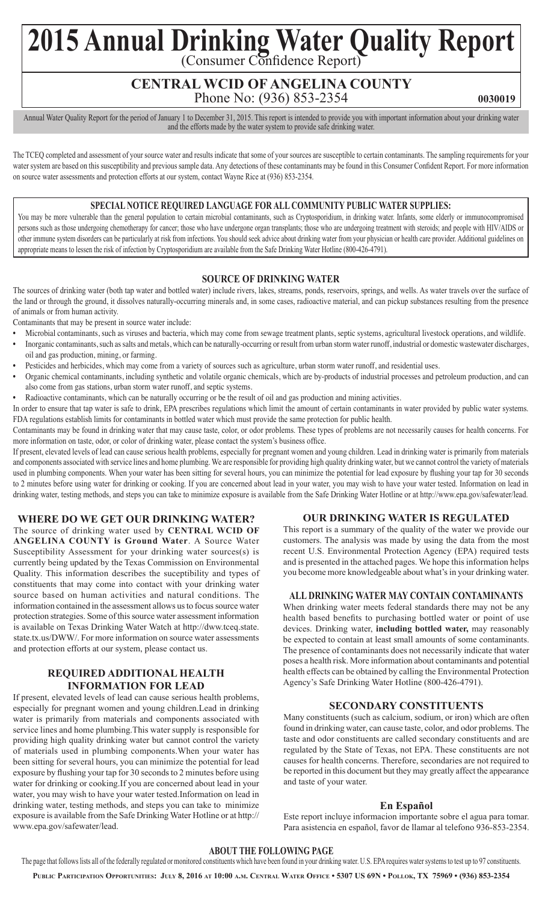# 2015 Annual Drinking Water Quality Report

# **CENTRAL WCID OF ANGELINA COUNTY** Phone No: (936) 853-2354

**0030019**

Annual Water Quality Report for the period of January 1 to December 31, 2015. This report is intended to provide you with important information about your drinking water and the efforts made by the water system to provide safe drinking water.

The TCEQ completed and assessment of your source water and results indicate that some of your sources are susceptible to certain contaminants. The sampling requirements for your water system are based on this susceptibility and previous sample data. Any detections of these contaminants may be found in this Consumer Confident Report. For more information on source water assessments and protection efforts at our system, contact Wayne Rice at (936) 853-2354.

## **SPECIAL NOTICE REQUIRED LANGUAGE FOR ALL COMMUNITY PUBLIC WATER SUPPLIES:**

You may be more vulnerable than the general population to certain microbial contaminants, such as Cryptosporidium, in drinking water. Infants, some elderly or immunocompromised persons such as those undergoing chemotherapy for cancer; those who have undergone organ transplants; those who are undergoing treatment with steroids; and people with HIV/AIDS or other immune system disorders can be particularly at risk from infections. You should seek advice about drinking water from your physician or health care provider. Additional guidelines on appropriate means to lessen the risk of infection by Cryptosporidium are available from the Safe Drinking Water Hotline (800-426-4791).

## **SOURCE OF DRINKING WATER**

The sources of drinking water (both tap water and bottled water) include rivers, lakes, streams, ponds, reservoirs, springs, and wells. As water travels over the surface of the land or through the ground, it dissolves naturally-occurring minerals and, in some cases, radioactive material, and can pickup substances resulting from the presence of animals or from human activity.

Contaminants that may be present in source water include:

- Microbial contaminants, such as viruses and bacteria, which may come from sewage treatment plants, septic systems, agricultural livestock operations, and wildlife.
- Inorganic contaminants, such as salts and metals, which can be naturally-occurring or result from urban storm water runoff, industrial or domestic wastewater discharges, oil and gas production, mining, or farming.
- Pesticides and herbicides, which may come from a variety of sources such as agriculture, urban storm water runoff, and residential uses.
- • Organic chemical contaminants, including synthetic and volatile organic chemicals, which are by-products of industrial processes and petroleum production, and can also come from gas stations, urban storm water runoff, and septic systems.
- Radioactive contaminants, which can be naturally occurring or be the result of oil and gas production and mining activities.

In order to ensure that tap water is safe to drink, EPA prescribes regulations which limit the amount of certain contaminants in water provided by public water systems. FDA regulations establish limits for contaminants in bottled water which must provide the same protection for public health.

Contaminants may be found in drinking water that may cause taste, color, or odor problems. These types of problems are not necessarily causes for health concerns. For more information on taste, odor, or color of drinking water, please contact the system's business office.

If present, elevated levels of lead can cause serious health problems, especially for pregnant women and young children. Lead in drinking water is primarily from materials and components associated with service lines and home plumbing. We are responsible for providing high quality drinking water, but we cannot control the variety of materials used in plumbing components. When your water has been sitting for several hours, you can minimize the potential for lead exposure by flushing your tap for 30 seconds to 2 minutes before using water for drinking or cooking. If you are concerned about lead in your water, you may wish to have your water tested. Information on lead in drinking water, testing methods, and steps you can take to minimize exposure is available from the Safe Drinking Water Hotline or at http://www.epa.gov/safewater/lead.

# **WHERE DO WE GET OUR DRINKING WATER?**

The source of drinking water used by **CENTRAL WCID OF ANGELINA COUNTY is Ground Water**. A Source Water Susceptibility Assessment for your drinking water sources(s) is currently being updated by the Texas Commission on Environmental Quality. This information describes the suceptibility and types of constituents that may come into contact with your drinking water source based on human activities and natural conditions. The information contained in the assessment allows us to focus source water protection strategies. Some of this source water assessment information is available on Texas Drinking Water Watch at http://dww.tceq.state. state.tx.us/DWW/. For more information on source water assessments and protection efforts at our system, please contact us.

## **REQUIRED ADDITIONAL HEALTH INFORMATION FOR LEAD**

If present, elevated levels of lead can cause serious health problems, especially for pregnant women and young children.Lead in drinking water is primarily from materials and components associated with service lines and home plumbing.This water supply is responsible for providing high quality drinking water but cannot control the variety of materials used in plumbing components.When your water has been sitting for several hours, you can minimize the potential for lead exposure by flushing your tap for 30 seconds to 2 minutes before using water for drinking or cooking.If you are concerned about lead in your water, you may wish to have your water tested.Information on lead in drinking water, testing methods, and steps you can take to minimize exposure is available from the Safe Drinking Water Hotline or at http:// www.epa.gov/safewater/lead.

# **OUR DRINKING WATER IS REGULATED**

This report is a summary of the quality of the water we provide our customers. The analysis was made by using the data from the most recent U.S. Environmental Protection Agency (EPA) required tests and is presented in the attached pages. We hope this information helps you become more knowledgeable about what's in your drinking water.

#### **ALL DRINKING WATER MAY CONTAIN CONTAMINANTS**

When drinking water meets federal standards there may not be any health based benefits to purchasing bottled water or point of use devices. Drinking water, **including bottled water,** may reasonably be expected to contain at least small amounts of some contaminants. The presence of contaminants does not necessarily indicate that water poses a health risk. More information about contaminants and potential health effects can be obtained by calling the Environmental Protection Agency's Safe Drinking Water Hotline (800-426-4791).

# **SECONDARY CONSTITUENTS**

Many constituents (such as calcium, sodium, or iron) which are often found in drinking water, can cause taste, color, and odor problems. The taste and odor constituents are called secondary constituents and are regulated by the State of Texas, not EPA. These constituents are not causes for health concerns. Therefore, secondaries are not required to be reported in this document but they may greatly affect the appearance and taste of your water.

#### **En Español**

Este report incluye informacion importante sobre el agua para tomar. Para asistencia en español, favor de llamar al telefono 936-853-2354.

#### **ABOUT THE FOLLOWING PAGE**

The page that follows lists all of the federally regulated or monitored constituents which have been found in your drinking water. U.S. EPA requires water systems to test up to 97 constituents.

**Public Participation Opportunities: July 8, 2016 at 10:00 a.m. Central Water Office • 5307 US 69N • Pollok, TX 75969 • (936) 853-2354**